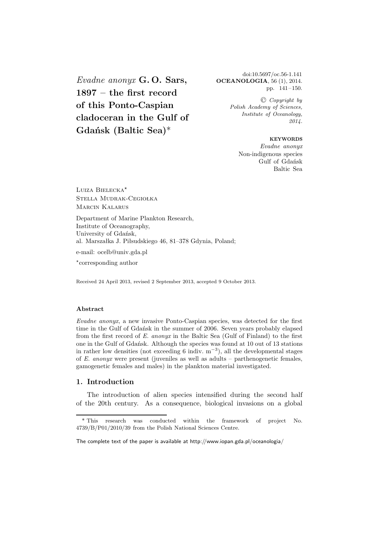*Evadne anonyx* **G. O. Sars, 1897 – the first record of this Ponto-Caspian cladoceran in the Gulf of Gdańsk (Baltic Sea)**\*

doi:10.5697/oc.56-1.141 **OCEANOLOGIA**, 56 (1), 2014. pp. 141–150.

> -C *Copyright by Polish Academy of Sciences, Institute of Oceanology, 2014.*

#### **KEYWORDS**

*Evadne anonyx* Non-indigenous species Gulf of Gdańsk Baltic Sea

Luiza Bielecka<sup>\*</sup> Stella Mudrak-Cegiołka Marcin Kalarus

Department of Marine Plankton Research, Institute of Oceanography, University of Gdańsk, al. Marszałka J. Piłsudskiego 46, 81–378 Gdynia, Poland; e-mail: ocelb@univ.gda.pl

-corresponding author

Received 24 April 2013, revised 2 September 2013, accepted 9 October 2013.

*Evadne anonyx*, a new invasive Ponto-Caspian species, was detected for the first time in the Gulf of Gdańsk in the summer of 2006. Seven years probably elapsed from the first record of *E. anonyx* in the Baltic Sea (Gulf of Finland) to the first one in the Gulf of Gdańsk. Although the species was found at 10 out of 13 stations in rather low densities (not exceeding 6 indiv. m*−*<sup>3</sup>), all the developmental stages of *E. anonyx* were present (juveniles as well as adults – parthenogenetic females, gamogenetic females and males) in the plankton material investigated.

### **1. Introduction**

The introduction of alien species intensified during the second half of the 20th century. As a consequence, biological invasions on a global

<sup>\*</sup> This research was conducted within the framework of project No. 4739/B/P01/2010/39 from the Polish National Sciences Centre.

The complete text of the paper is available at http://www.iopan.gda.pl/oceanologia/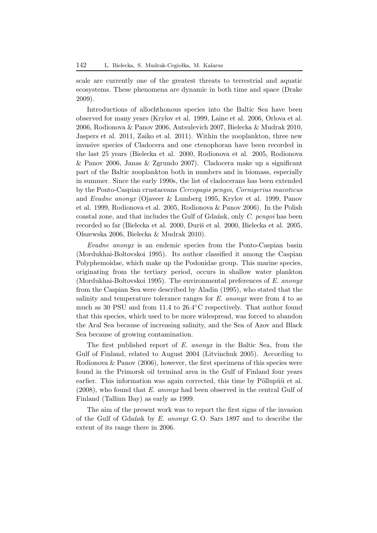scale are currently one of the greatest threats to terrestrial and aquatic ecosystems. These phenomena are dynamic in both time and space (Drake 2009).

Introductions of allochthonous species into the Baltic Sea have been observed for many years (Krylov et al. 1999, Laine et al. 2006, Orlova et al. 2006, Rodionova & Panov 2006, Antsulevich 2007, Bielecka & Mudrak 2010, Jaspers et al. 2011, Zaiko et al. 2011). Within the zooplankton, three new invasive species of Cladocera and one ctenophoran have been recorded in the last 25 years (Bielecka et al. 2000, Rodionova et al. 2005, Rodionova & Panov 2006, Janas & Zgrundo 2007). Cladocera make up a significant part of the Baltic zooplankton both in numbers and in biomass, especially in summer. Since the early 1990s, the list of cladocerans has been extended by the Ponto-Caspian crustaceans *Cercopagis pengoi*, *Cornigerius maeoticus* and *Evadne anonyx* (Ojaveer & Lumberg 1995, Krylov et al. 1999, Panov et al. 1999, Rodionova et al. 2005, Rodionova & Panov 2006). In the Polish coastal zone, and that includes the Gulf of Gdańsk, only *C. pengoi* has been recorded so far (Bielecka et al. 2000, Duriš et al. 2000, Bielecka et al. 2005, Olszewska 2006, Bielecka & Mudrak 2010).

*Evadne anonyx* is an endemic species from the Ponto-Caspian basin (Mordukhai-Boltovskoi 1995). Its author classified it among the Caspian Polyphemoidae, which make up the Podonidae group. This marine species, originating from the tertiary period, occurs in shallow water plankton (Mordukhai-Boltovskoi 1995). The environmental preferences of *E. anonyx* from the Caspian Sea were described by Aladin (1995), who stated that the salinity and temperature tolerance ranges for *E. anonyx* were from 4 to as much as 30 PSU and from 11.4 to 26.4◦C respectively. That author found that this species, which used to be more widespread, was forced to abandon the Aral Sea because of increasing salinity, and the Sea of Azov and Black Sea because of growing contamination.

The first published report of *E. anonyx* in the Baltic Sea, from the Gulf of Finland, related to August 2004 (Litvinchuk 2005). According to Rodionova  $\&$  Panov (2006), however, the first specimens of this species were found in the Primorsk oil terminal area in the Gulf of Finland four years earlier. This information was again corrected, this time by Põllupüü et al. (2008), who found that *E. anonyx* had been observed in the central Gulf of Finland (Tallinn Bay) as early as 1999.

The aim of the present work was to report the first signs of the invasion of the Gulf of Gdańsk by *E. anonyx* G. O. Sars 1897 and to describe the extent of its range there in 2006.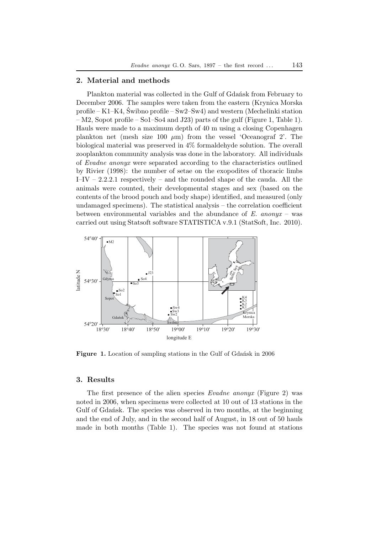## **2. Material and methods**

Plankton material was collected in the Gulf of Gdańsk from February to December 2006. The samples were taken from the eastern (Krynica Morska profile – K1–K4, Świbno profile – Sw2–Sw4) and western (Mechelinki station – M2, Sopot profile – So1–So4 and J23) parts of the gulf (Figure 1, Table 1). Hauls were made to a maximum depth of 40 m using a closing Copenhagen plankton net (mesh size 100  $\mu$ m) from the vessel 'Oceanograf 2'. The biological material was preserved in 4% formaldehyde solution. The overall zooplankton community analysis was done in the laboratory. All individuals of *Evadne anonyx* were separated according to the characteristics outlined by Rivier (1998): the number of setae on the exopodites of thoracic limbs I–IV – 2.2.2.1 respectively – and the rounded shape of the cauda. All the animals were counted, their developmental stages and sex (based on the contents of the brood pouch and body shape) identified, and measured (only undamaged specimens). The statistical analysis – the correlation coefficient between environmental variables and the abundance of *E. anonyx* – was carried out using Statsoft software STATISTICA v.9.1 (StatSoft, Inc. 2010).



**Figure 1.** Location of sampling stations in the Gulf of Gdańsk in 2006

### **3. Results**

The first presence of the alien species *Evadne anonyx* (Figure 2) was noted in 2006, when specimens were collected at 10 out of 13 stations in the Gulf of Gdańsk. The species was observed in two months, at the beginning and the end of July, and in the second half of August, in 18 out of 50 hauls made in both months (Table 1). The species was not found at stations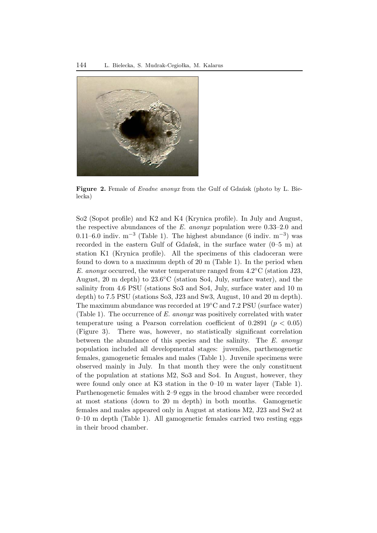

**Figure 2.** Female of *Evadne anonyx* from the Gulf of Gdańsk (photo by L. Bielecka)

So2 (Sopot profile) and K2 and K4 (Krynica profile). In July and August, the respective abundances of the *E. anonyx* population were 0.33–2.0 and 0.11–6.0 indiv. m<sup>-3</sup> (Table 1). The highest abundance (6 indiv. m<sup>-3</sup>) was recorded in the eastern Gulf of Gdańsk, in the surface water (0–5 m) at station K1 (Krynica profile). All the specimens of this cladoceran were found to down to a maximum depth of 20 m (Table 1). In the period when *E. anonyx* occurred, the water temperature ranged from 4.2◦C (station J23, August, 20 m depth) to 23.6◦C (station So4, July, surface water), and the salinity from 4.6 PSU (stations So3 and So4, July, surface water and 10 m depth) to 7.5 PSU (stations So3, J23 and Sw3, August, 10 and 20 m depth). The maximum abundance was recorded at 19◦C and 7.2 PSU (surface water) (Table 1). The occurrence of *E. anonyx* was positively correlated with water temperature using a Pearson correlation coefficient of 0.2891 (*p <* 0*.*05) (Figure 3). There was, however, no statistically significant correlation between the abundance of this species and the salinity. The *E. anonyx* population included all developmental stages: juveniles, parthenogenetic females, gamogenetic females and males (Table 1). Juvenile specimens were observed mainly in July. In that month they were the only constituent of the population at stations M2, So3 and So4. In August, however, they were found only once at K3 station in the 0–10 m water layer (Table 1). Parthenogenetic females with 2–9 eggs in the brood chamber were recorded at most stations (down to 20 m depth) in both months. Gamogenetic females and males appeared only in August at stations M2, J23 and Sw2 at 0–10 m depth (Table 1). All gamogenetic females carried two resting eggs in their brood chamber.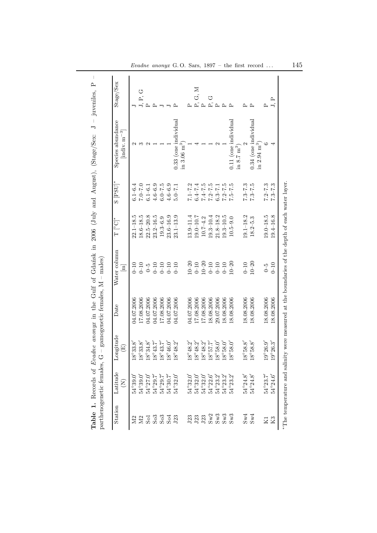| Station                  | Latitude<br>E            | Longitude<br>囯                    | Date       | Water column<br>$\Xi$ | $\mathbb{T} \left[ {}^{\circ} \mathrm{C} \right]^{*}$ | $\mathrm{S}$ [PSU]* | Species abundance<br>$\left[\text{indiv}, \text{m}^{-3}\right]$ | Stage/Sex         |
|--------------------------|--------------------------|-----------------------------------|------------|-----------------------|-------------------------------------------------------|---------------------|-----------------------------------------------------------------|-------------------|
| N <sub>2</sub>           | $54^{\circ}39.0$         | $8^{\circ}33.8$                   | 04.07.2006 | $0 - 10$              | $22.1 - 18.5$                                         | $6.1 - 6.4$         |                                                                 |                   |
| $\Sigma$                 | $54^{\circ}39.0'$        | $8^{\circ}33.8'$                  | 17.08.2006 | $0-10$                | $18.6 - 18.5$                                         | $0.7 - 0.7$         | S                                                               | $J, P, G$         |
|                          | $54^{\circ}27.0'$        | $8^{\circ}34.8'$                  | 04.07.2006 | $\zeta$               | $22.5 - 20.8$                                         | $6.1 - 6.1$         | $\mathcal{C}$                                                   | $\sim$            |
| 5333                     | $54^{\circ}29.7$         | $8^{\circ}43.7'$                  | 04.07.2006 | $0 - 10$              | $23.2 - 16.5$                                         | $4.6 - 6.9$         |                                                                 | മ                 |
|                          | $54^{\circ}29.7$         | $8^{\circ}43.7'$                  | 17.08.2006 | $0 - 10$              | $19.3 - 6.9$                                          | $6.0 - 7.5$         |                                                                 |                   |
|                          | $54^{\circ}30.7^{\circ}$ | $8^{\circ}46.0'$                  | 04.07.2006 | $0 - 10$              | $23.6 - 16.9$                                         | $4.6 - 6.9$         |                                                                 |                   |
| J23                      | $54^{\circ}32.0'$        | $8^{\circ}48.2'$                  | 04.07.2006 | $0 - 10$              | $23.1 - 13.9$                                         | $5.0 - 7.1$         | $0.33$ (one individual                                          | ≏                 |
|                          |                          |                                   |            |                       |                                                       |                     | in 3.06 $\mathrm{m}^3$                                          |                   |
| J23                      | $54^{\circ}32.0$         | $8^{\circ}48.2'$                  | 04.07.2006 | $10 - 20$             | $13.9 - 11.4$                                         | $7.1 - 7.2$         |                                                                 | ≏                 |
|                          | $54^{\circ}32.0'$        | $8^{\circ}48.2'$ $8^{\circ}48.2'$ | 17.08.2006 | $0 - 10$              | $19.0 - 10.7$                                         | $6.4 - 7.4$         |                                                                 | G, M              |
| $\mathbf{J23}$           | $54^{\circ}32.0'$        |                                   | 17.08.2006 | $10 - 20$             | $10.7 - 4.2$                                          | $7.4 - 7.5$         |                                                                 | ட்ட               |
|                          | $54^{\circ}22.6'$        | $5.75^{\circ}$                    | 18.08.2006 | $0\hbox{--}10$        | $19.3 - 10.4$                                         | $7.2 - 7.5$         |                                                                 | U<br>P.           |
|                          | $54^{\circ}23.2'$        | $8^{\circ}58.0'$                  | 29.07.2006 | $0 - 10$              | $21.8 - 18.2$                                         | $6.3 - 7.1$         |                                                                 | $\mathbb{\Delta}$ |
| <b>Sw3</b><br>Sw3<br>Sw3 | $54^{\circ}23.2'$        | $8^{\circ}58.0'$                  | 18.08.2006 | $0 - 10$              | $19.3 - 10.5$                                         | $7.2 - 7.5$         |                                                                 | $\mathbf{r}$      |
|                          | $54^{\circ}23.2'$        | $8^{\circ}58.0'$                  | 18.08.2006 | $10 - 20$             | $10.5 - 9.0$                                          | $7.5 - 7.5$         | $0.11$ (one individual                                          | д                 |
|                          |                          |                                   |            |                       |                                                       |                     | in 8.7 $\text{m}^3$                                             |                   |
| Sw4                      | $54^{\circ}24.8'$        | $8^{\circ}58.8$                   | 18.08.2006 | $0 - 10$              | $19.1 - 18.2$                                         | $7.3 - 7.3$         |                                                                 | ≏                 |
| Sw4                      | $54^{\circ}24.8'$        | $8°88.8$                          | 18.08.2006 | $10 - 20$             | $18.2 - 5.3$                                          | $7.3 - 7.5$         | $0.34$ (one individual<br>in $2.94 \text{ m}^3$                 | $\mathbf{r}$      |
| $_{\rm K1}$              | 54°23.7                  | $9^{\circ}26.9'$                  | 18.08.2006 | $\zeta$               | $19.0 - 18.5$                                         | $7.2 - 7.3$         |                                                                 | $\mathbf{r}$      |
| K <sub>3</sub>           | $54^{\circ}24.6'$        | $.9^{\circ}26.3'$                 | 18.08.2006 | $0 - 10$              | $19.4 - 16.8$                                         | $7.3 - 7.3$         |                                                                 | J, P              |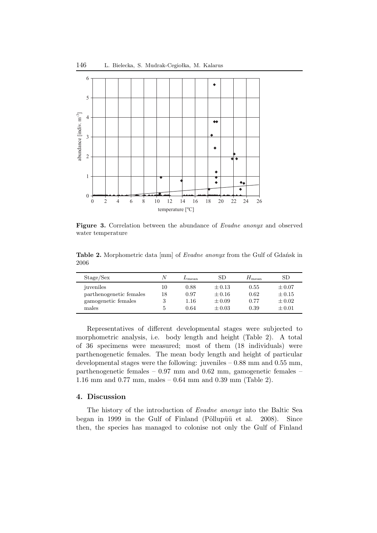

**Figure 3.** Correlation between the abundance of *Evadne anonyx* and observed water temperature

**Table 2.** Morphometric data [mm] of *Evadne anonyx* from the Gulf of Gdańsk in 2006

| Stage/Sex               |    | $L_{\rm mean}$ | SD         | $H_{\text{mean}}$ | SD         |
|-------------------------|----|----------------|------------|-------------------|------------|
| juveniles               | 10 | 0.88           | $\pm 0.13$ | 0.55              | $\pm 0.07$ |
| parthenogenetic females | 18 | 0.97           | $\pm 0.16$ | 0.62              | $\pm 0.15$ |
| gamogenetic females     |    | 1.16           | $\pm 0.09$ | 0.77              | $\pm 0.02$ |
| males                   |    | 0.64           | $\pm 0.03$ | 0.39              | $\pm 0.01$ |

Representatives of different developmental stages were subjected to morphometric analysis, i.e. body length and height (Table 2). A total of 36 specimens were measured; most of them (18 individuals) were parthenogenetic females. The mean body length and height of particular developmental stages were the following: juveniles – 0.88 mm and 0.55 mm, parthenogenetic females – 0.97 mm and 0.62 mm, gamogenetic females – 1.16 mm and 0.77 mm, males – 0.64 mm and 0.39 mm (Table 2).

# **4. Discussion**

The history of the introduction of *Evadne anonyx* into the Baltic Sea began in 1999 in the Gulf of Finland (Põllupüü et al. 2008). Since then, the species has managed to colonise not only the Gulf of Finland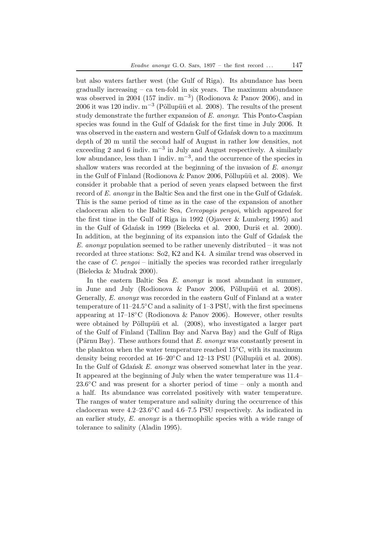but also waters farther west (the Gulf of Riga). Its abundance has been gradually increasing – ca ten-fold in six years. The maximum abundance was observed in 2004 (157 indiv.  $m^{-3}$ ) (Rodionova & Panov 2006), and in 2006 it was 120 indiv. m<sup>-3</sup> (Põllupüü et al. 2008). The results of the present study demonstrate the further expansion of *E. anonyx*. This Ponto-Caspian species was found in the Gulf of Gdańsk for the first time in July 2006. It was observed in the eastern and western Gulf of Gdańsk down to a maximum depth of 20 m until the second half of August in rather low densities, not exceeding 2 and 6 indiv.  $m^{-3}$  in July and August respectively. A similarly low abundance, less than 1 indiv. m−3, and the occurrence of the species in shallow waters was recorded at the beginning of the invasion of *E. anonyx* in the Gulf of Finland (Rodionova  $\&$  Panov 2006, Põllupüü et al. 2008). We consider it probable that a period of seven years elapsed between the first record of *E. anonyx* in the Baltic Sea and the first one in the Gulf of Gdańsk. This is the same period of time as in the case of the expansion of another cladoceran alien to the Baltic Sea, *Cercopagis pengoi*, which appeared for the first time in the Gulf of Riga in 1992 (Ojaveer & Lumberg 1995) and in the Gulf of Gdańsk in 1999 (Bielecka et al. 2000, Duriš et al. 2000). In addition, at the beginning of its expansion into the Gulf of Gdańsk the *E. anonyx* population seemed to be rather unevenly distributed – it was not recorded at three stations: So2, K2 and K4. A similar trend was observed in the case of *C. pengoi* – initially the species was recorded rather irregularly (Bielecka & Mudrak 2000).

In the eastern Baltic Sea *E. anonyx* is most abundant in summer, in June and July (Rodionova  $\&$  Panov 2006, Põllupüü et al. 2008). Generally, *E. anonyx* was recorded in the eastern Gulf of Finland at a water temperature of  $11–24.5\textdegree C$  and a salinity of  $1–3$  PSU, with the first specimens appearing at  $17-18\textdegree C$  (Rodionova & Panov 2006). However, other results were obtained by Põllupüü et al. (2008), who investigated a larger part of the Gulf of Finland (Tallinn Bay and Narva Bay) and the Gulf of Riga (Pärnu Bay). These authors found that *E. anonyx* was constantly present in the plankton when the water temperature reached  $15^{\circ}$ C, with its maximum density being recorded at  $16-20^{\circ}$ C and  $12-13$  PSU (Põllupüü et al. 2008). In the Gulf of Gdańsk *E. anonyx* was observed somewhat later in the year. It appeared at the beginning of July when the water temperature was 11.4–  $23.6\degree$ C and was present for a shorter period of time – only a month and a half. Its abundance was correlated positively with water temperature. The ranges of water temperature and salinity during the occurrence of this cladoceran were 4.2–23.6◦C and 4.6–7.5 PSU respectively. As indicated in an earlier study, *E. anonyx* is a thermophilic species with a wide range of tolerance to salinity (Aladin 1995).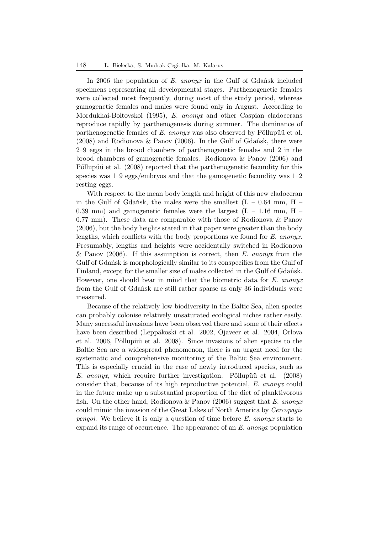In 2006 the population of *E. anonyx* in the Gulf of Gdańsk included specimens representing all developmental stages. Parthenogenetic females were collected most frequently, during most of the study period, whereas gamogenetic females and males were found only in August. According to Mordukhai-Boltovskoi (1995), *E. anonyx* and other Caspian cladocerans reproduce rapidly by parthenogenesis during summer. The dominance of parthenogenetic females of *E. anonyx* was also observed by Põllupüü et al. (2008) and Rodionova & Panov (2006). In the Gulf of Gdańsk, there were 2–9 eggs in the brood chambers of parthenogenetic females and 2 in the brood chambers of gamogenetic females. Rodionova & Panov (2006) and Põllupüü et al. (2008) reported that the parthenogenetic fecundity for this species was 1–9 eggs/embryos and that the gamogenetic fecundity was 1–2 resting eggs.

With respect to the mean body length and height of this new cladoceran in the Gulf of Gdańsk, the males were the smallest  $(L - 0.64$  mm, H – 0.39 mm) and gamogenetic females were the largest  $(L - 1.16 \text{ mm}, H -$ 0.77 mm). These data are comparable with those of Rodionova & Panov (2006), but the body heights stated in that paper were greater than the body lengths, which conflicts with the body proportions we found for *E. anonyx*. Presumably, lengths and heights were accidentally switched in Rodionova & Panov (2006). If this assumption is correct, then *E. anonyx* from the Gulf of Gdańsk is morphologically similar to its conspecifics from the Gulf of Finland, except for the smaller size of males collected in the Gulf of Gdańsk. However, one should bear in mind that the biometric data for *E. anonyx* from the Gulf of Gdańsk are still rather sparse as only 36 individuals were measured.

Because of the relatively low biodiversity in the Baltic Sea, alien species can probably colonise relatively unsaturated ecological niches rather easily. Many successful invasions have been observed there and some of their effects have been described (Leppäkoski et al. 2002, Ojaveer et al. 2004, Orlova et al. 2006, Põllupüü et al. 2008). Since invasions of alien species to the Baltic Sea are a widespread phenomenon, there is an urgent need for the systematic and comprehensive monitoring of the Baltic Sea environment. This is especially crucial in the case of newly introduced species, such as *E. anonyx*, which require further investigation. Pollupüü et al. (2008) consider that, because of its high reproductive potential, *E. anonyx* could in the future make up a substantial proportion of the diet of planktivorous fish. On the other hand, Rodionova & Panov (2006) suggest that *E. anonyx* could mimic the invasion of the Great Lakes of North America by *Cercopagis pengoi*. We believe it is only a question of time before *E. anonyx* starts to expand its range of occurrence. The appearance of an *E. anonyx* population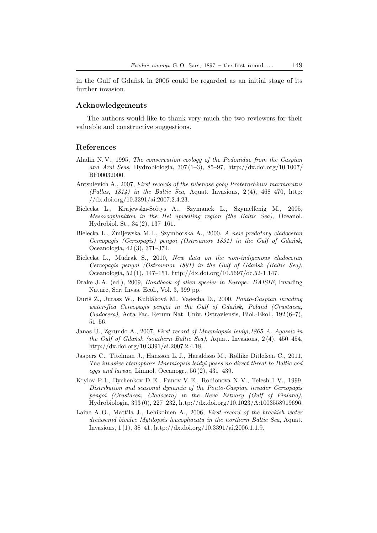in the Gulf of Gdańsk in 2006 could be regarded as an initial stage of its further invasion.

### **Acknowledgements**

The authors would like to thank very much the two reviewers for their valuable and constructive suggestions.

#### **References**

- Aladin N. V., 1995, *The conservation ecology of the Podonidae from the Caspian and Aral Seas*, Hydrobiologia, 307 (1–3), 85–97, http://dx.doi.org/10.1007/ BF00032000.
- Antsulevich A., 2007, *First records of the tubenose goby Proterorhinus marmoratus (Pallas, 1814) in the Baltic Sea*, Aquat. Invasions, 2 (4), 468–470, http: //dx.doi.org/10.3391/ai.2007.2.4.23.
- Bielecka L., Krajewska-Sołtys A., Szymanek L., Szymelfenig M., 2005, *Mesozooplankton in the Hel upwelling region (the Baltic Sea)*, Oceanol. Hydrobiol. St., 34 (2), 137–161.
- Bielecka L., Żmijewska M. I., Szymborska A., 2000, *A new predatory cladoceran Cercopagis (Cercopagis) pengoi (Ostroumov 1891) in the Gulf of Gdańsk*, Oceanologia, 42 (3), 371–374.
- Bielecka L., Mudrak S., 2010, *New data on the non-indigenous cladoceran Cercopagis pengoi (Ostroumov 1891) in the Gulf of Gdańsk (Baltic Sea)*, Oceanologia, 52 (1), 147–151, http://dx.doi.org/10.5697/oc.52-1.147.
- Drake J. A. (ed.), 2009, *Handbook of alien species in Europe: DAISIE*, Invading Nature, Ser. Invas. Ecol., Vol. 3, 399 pp.
- Duriš Z., Jurasz W., Kubláková M., Vaøecha D., 2000, *Ponto-Caspian invading water-flea Cercopagis pengoi in the Gulf of Gdańsk, Poland (Crustacea, Cladocera)*, Acta Fac. Rerum Nat. Univ. Ostraviensis, Biol.-Ekol., 192 (6–7), 51–56.
- Janas U., Zgrundo A., 2007, *First record of Mnemiopsis leidyi,1865 A. Agassiz in the Gulf of Gdańsk (southern Baltic Sea)*, Aquat. Invasions, 2 (4), 450–454, http://dx.doi.org/10.3391/ai.2007.2.4.18.
- Jaspers C., Titelman J., Hansson L. J., Haraldsso M., Røllike Ditlefsen C., 2011, *The invasive ctenophore Mnemiopsis leidyi poses no direct threat to Baltic cod eggs and larvae*, Limnol. Oceanogr., 56 (2), 431–439.
- Krylov P. I., Bychenkov D. E., Panov V. E., Rodionova N. V., Telesh I. V., 1999, *Distribution and seasonal dynamic of the Ponto-Caspian invader Cercopagis pengoi (Crustacea, Cladocera) in the Neva Estuary (Gulf of Finland)*, Hydrobiologia, 393 (0), 227–232, http://dx.doi.org/10.1023/A:1003558919696.
- Laine A. O., Mattila J., Lehikoinen A., 2006, *First record of the brackish water dreissenid bivalve Mytilopsis leucophaeata in the northern Baltic Sea*, Aquat. Invasions, 1 (1), 38–41, http://dx.doi.org/10.3391/ai.2006.1.1.9.